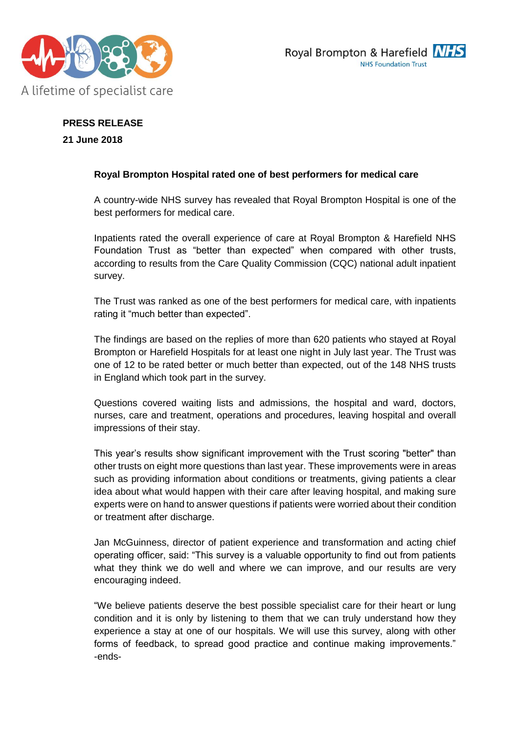



**PRESS RELEASE 21 June 2018**

## **Royal Brompton Hospital rated one of best performers for medical care**

A country-wide NHS survey has revealed that Royal Brompton Hospital is one of the best performers for medical care.

Inpatients rated the overall experience of care at Royal Brompton & Harefield NHS Foundation Trust as "better than expected" when compared with other trusts, according to results from the Care Quality Commission (CQC) national adult inpatient survey.

The Trust was ranked as one of the best performers for medical care, with inpatients rating it "much better than expected".

The findings are based on the replies of more than 620 patients who stayed at Royal Brompton or Harefield Hospitals for at least one night in July last year. The Trust was one of 12 to be rated better or much better than expected, out of the 148 NHS trusts in England which took part in the survey.

Questions covered waiting lists and admissions, the hospital and ward, doctors, nurses, care and treatment, operations and procedures, leaving hospital and overall impressions of their stay.

This year's results show significant improvement with the Trust scoring "better" than other trusts on eight more questions than last year. These improvements were in areas such as providing information about conditions or treatments, giving patients a clear idea about what would happen with their care after leaving hospital, and making sure experts were on hand to answer questions if patients were worried about their condition or treatment after discharge.

Jan McGuinness, director of patient experience and transformation and acting chief operating officer, said: "This survey is a valuable opportunity to find out from patients what they think we do well and where we can improve, and our results are very encouraging indeed.

"We believe patients deserve the best possible specialist care for their heart or lung condition and it is only by listening to them that we can truly understand how they experience a stay at one of our hospitals. We will use this survey, along with other forms of feedback, to spread good practice and continue making improvements." -ends-